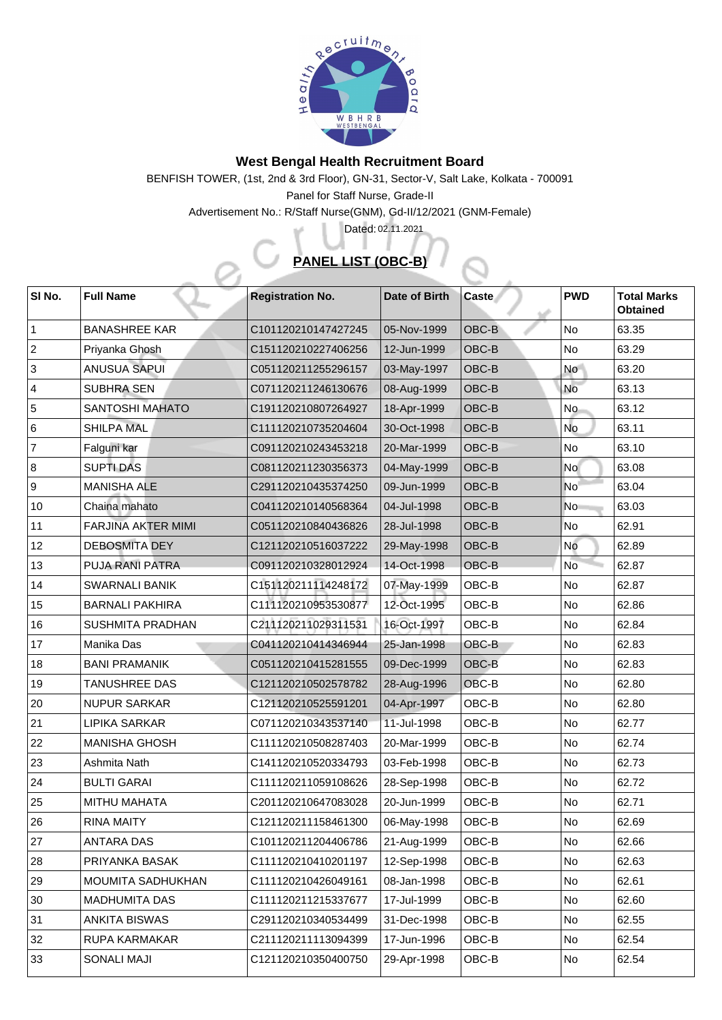

## **West Bengal Health Recruitment Board**

BENFISH TOWER, (1st, 2nd & 3rd Floor), GN-31, Sector-V, Salt Lake, Kolkata - 700091

Panel for Staff Nurse, Grade-II

Advertisement No.: R/Staff Nurse(GNM), Gd-II/12/2021 (GNM-Female)

## **PANEL LIST (OBC-B)**

Dated: 02.11.2021

| SI No.       | <b>Full Name</b>          | <b>Registration No.</b> | Date of Birth | <b>Caste</b>                | <b>PWD</b>      | <b>Total Marks</b><br><b>Obtained</b> |
|--------------|---------------------------|-------------------------|---------------|-----------------------------|-----------------|---------------------------------------|
|              | <b>BANASHREE KAR</b>      | C101120210147427245     | 05-Nov-1999   | OBC-B                       | <b>No</b>       | 63.35                                 |
| $ 2\rangle$  | Priyanka Ghosh            | C151120210227406256     | 12-Jun-1999   | OBC-B                       | <b>No</b>       | 63.29                                 |
| 3            | <b>ANUSUA SAPUI</b>       | C051120211255296157     | 03-May-1997   | <b>OBC-B</b>                | <b>No</b>       | 63.20                                 |
| $ 4\rangle$  | <b>SUBHRA SEN</b>         | C071120211246130676     | 08-Aug-1999   | <b>OBC-B</b>                | No              | 63.13                                 |
| 5            | <b>SANTOSHI MAHATO</b>    | C191120210807264927     | 18-Apr-1999   | <b>OBC-B</b>                | <b>No</b>       | 63.12                                 |
| 6            | <b>SHILPA MAL</b>         | C111120210735204604     | 30-Oct-1998   | <b>OBC-B</b>                | <b>No</b>       | 63.11                                 |
| 7            | Falguni kar               | C091120210243453218     | 20-Mar-1999   | OBC-B                       | <b>No</b>       | 63.10                                 |
| 8            | <b>SUPTI DAS</b>          | C081120211230356373     | 04-May-1999   | <b>OBC-B</b>                | No <sup>1</sup> | 63.08                                 |
| 9            | <b>MANISHA ALE</b>        | C291120210435374250     | 09-Jun-1999   | <b>OBC-B</b>                | <b>No</b>       | 63.04                                 |
| $ 10\rangle$ | Chaina mahato             | C041120210140568364     | 04-Jul-1998   | <b>OBC-B</b>                | <b>No</b>       | 63.03                                 |
| 11           | <b>FARJINA AKTER MIMI</b> | C051120210840436826     | 28-Jul-1998   | <b>OBC-B</b>                | No              | 62.91                                 |
| 12           | <b>DEBOSMITA DEY</b>      | C121120210516037222     | 29-May-1998   | OBC-B                       | No              | 62.89                                 |
| 13           | <b>PUJA RANI PATRA</b>    | C091120210328012924     | 14-Oct-1998   | OBC-B                       | <b>No</b>       | 62.87                                 |
| 14           | <b>SWARNALI BANIK</b>     | C151120211114248172     | 07-May-1999   | OBC-B                       | No              | 62.87                                 |
| 15           | <b>BARNALI PAKHIRA</b>    | C111120210953530877     | 12-Oct-1995   | OBC-B                       | <b>No</b>       | 62.86                                 |
| 16           | <b>SUSHMITA PRADHAN</b>   | C211120211029311531     | 16-Oct-1997   | OBC-B                       | No              | 62.84                                 |
| $\vert$ 17   | Manika Das                | C041120210414346944     | 25-Jan-1998   | <b>OBC-B</b>                | No              | 62.83                                 |
| 18           | <b>BANI PRAMANIK</b>      | C051120210415281555     | 09-Dec-1999   | <b>OBC-B</b>                | No              | 62.83                                 |
| 19           | <b>TANUSHREE DAS</b>      | C121120210502578782     | 28-Aug-1996   | $\overline{\textsf{OBC-B}}$ | No              | 62.80                                 |
| $ 20\rangle$ | <b>NUPUR SARKAR</b>       | C121120210525591201     | 04-Apr-1997   | OBC-B                       | <b>No</b>       | 62.80                                 |
| 21           | <b>LIPIKA SARKAR</b>      | C071120210343537140     | 11-Jul-1998   | OBC-B                       | <b>No</b>       | 62.77                                 |
| $ 22\rangle$ | <b>MANISHA GHOSH</b>      | C111120210508287403     | 20-Mar-1999   | OBC-B                       | No              | 62.74                                 |
| 23           | Ashmita Nath              | C141120210520334793     | 03-Feb-1998   | OBC-B                       | <b>No</b>       | 62.73                                 |
| 24           | <b>BULTI GARAI</b>        | C111120211059108626     | 28-Sep-1998   | OBC-B                       | No              | 62.72                                 |
| 25           | <b>MITHU MAHATA</b>       | C201120210647083028     | 20-Jun-1999   | OBC-B                       | No              | 62.71                                 |
| 26           | <b>RINA MAITY</b>         | C121120211158461300     | 06-May-1998   | OBC-B                       | <b>No</b>       | 62.69                                 |
| 27           | <b>ANTARA DAS</b>         | C101120211204406786     | 21-Aug-1999   | OBC-B                       | <b>No</b>       | 62.66                                 |
| 28           | PRIYANKA BASAK            | C111120210410201197     | 12-Sep-1998   | OBC-B                       | No              | 62.63                                 |
| 29           | MOUMITA SADHUKHAN         | C111120210426049161     | 08-Jan-1998   | OBC-B                       | No              | 62.61                                 |
| 30           | <b>MADHUMITA DAS</b>      | C111120211215337677     | 17-Jul-1999   | OBC-B                       | No              | 62.60                                 |
| 31           | <b>ANKITA BISWAS</b>      | C291120210340534499     | 31-Dec-1998   | OBC-B                       | No              | 62.55                                 |
| 32           | <b>RUPA KARMAKAR</b>      | C211120211113094399     | 17-Jun-1996   | OBC-B                       | No              | 62.54                                 |
| 33           | <b>SONALI MAJI</b>        | C121120210350400750     | 29-Apr-1998   | OBC-B                       | <b>No</b>       | 62.54                                 |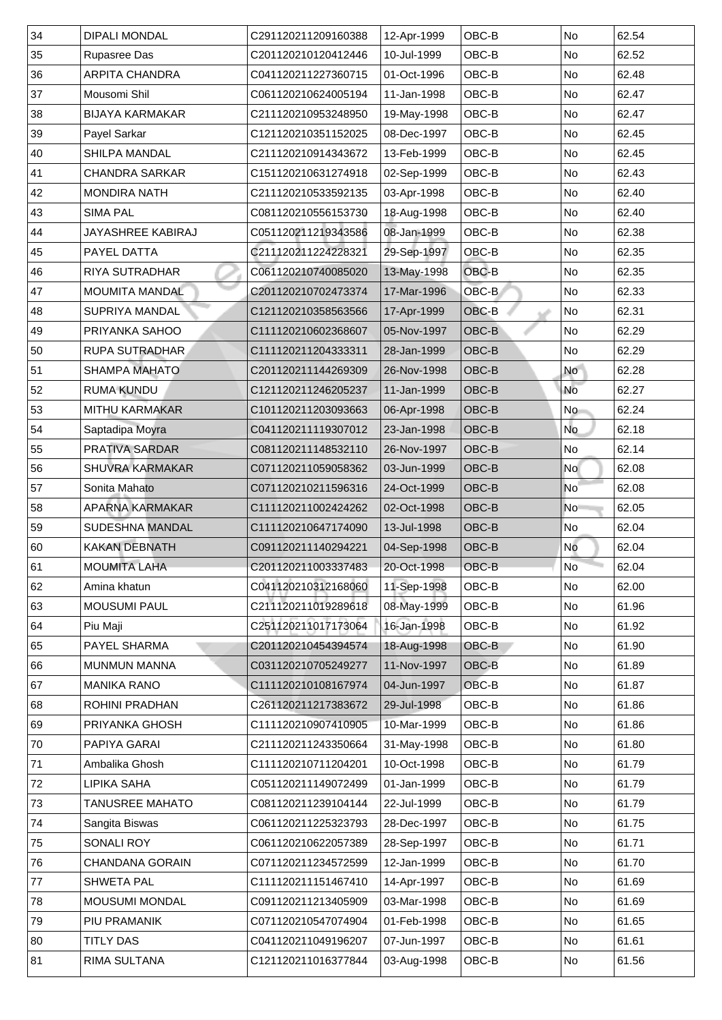| 34 | <b>DIPALI MONDAL</b>     | C291120211209160388 | 12-Apr-1999 | OBC-B        | <b>No</b>                | 62.54 |
|----|--------------------------|---------------------|-------------|--------------|--------------------------|-------|
| 35 | <b>Rupasree Das</b>      | C201120210120412446 | 10-Jul-1999 | OBC-B        | <b>No</b>                | 62.52 |
| 36 | <b>ARPITA CHANDRA</b>    | C041120211227360715 | 01-Oct-1996 | OBC-B        | No                       | 62.48 |
| 37 | Mousomi Shil             | C061120210624005194 | 11-Jan-1998 | OBC-B        | <b>No</b>                | 62.47 |
| 38 | <b>BIJAYA KARMAKAR</b>   | C211120210953248950 | 19-May-1998 | OBC-B        | No                       | 62.47 |
| 39 | <b>Payel Sarkar</b>      | C121120210351152025 | 08-Dec-1997 | OBC-B        | No                       | 62.45 |
| 40 | <b>SHILPA MANDAL</b>     | C211120210914343672 | 13-Feb-1999 | OBC-B        | <b>No</b>                | 62.45 |
| 41 | <b>CHANDRA SARKAR</b>    | C151120210631274918 | 02-Sep-1999 | OBC-B        | <b>No</b>                | 62.43 |
| 42 | <b>MONDIRA NATH</b>      | C211120210533592135 | 03-Apr-1998 | OBC-B        | <b>No</b>                | 62.40 |
| 43 | <b>SIMA PAL</b>          | C081120210556153730 | 18-Aug-1998 | OBC-B        | <b>No</b>                | 62.40 |
| 44 | <b>JAYASHREE KABIRAJ</b> | C051120211219343586 | 08-Jan-1999 | OBC-B        | <b>No</b>                | 62.38 |
| 45 | PAYEL DATTA              | C211120211224228321 | 29-Sep-1997 | OBC-B        | No                       | 62.35 |
| 46 | <b>RIYA SUTRADHAR</b>    | C061120210740085020 | 13-May-1998 | OBC-B        | No                       | 62.35 |
| 47 | <b>MOUMITA MANDAL</b>    | C201120210702473374 | 17-Mar-1996 | OBC-B        | $\overline{\mathsf{No}}$ | 62.33 |
| 48 | <b>SUPRIYA MANDAL</b>    | C121120210358563566 | 17-Apr-1999 | OBC-B        | N <sub>o</sub>           | 62.31 |
| 49 | <b>PRIYANKA SAHOO</b>    | C111120210602368607 | 05-Nov-1997 | OBC-B        | No                       | 62.29 |
| 50 | <b>RUPA SUTRADHAR</b>    | C111120211204333311 | 28-Jan-1999 | OBC-B        | No                       | 62.29 |
| 51 | <b>SHAMPA MAHATO</b>     | C201120211144269309 | 26-Nov-1998 | OBC-B        | <b>No</b>                | 62.28 |
| 52 | <b>RUMA KUNDU</b>        | C121120211246205237 | 11-Jan-1999 | OBC-B        | <b>No</b>                | 62.27 |
| 53 | <b>MITHU KARMAKAR</b>    | C101120211203093663 | 06-Apr-1998 | OBC-B        | <b>No</b>                | 62.24 |
| 54 | Saptadipa Moyra          | C041120211119307012 | 23-Jan-1998 | OBC-B        | <b>No</b>                | 62.18 |
| 55 | <b>PRATIVA SARDAR</b>    | C081120211148532110 | 26-Nov-1997 | OBC-B        | No                       | 62.14 |
| 56 | <b>SHUVRA KARMAKAR</b>   | C071120211059058362 | 03-Jun-1999 | OBC-B        | <b>No</b>                | 62.08 |
| 57 | Sonita Mahato            | C071120210211596316 | 24-Oct-1999 | OBC-B        | $\overline{\mathsf{No}}$ | 62.08 |
| 58 | <b>APARNA KARMAKAR</b>   | C111120211002424262 | 02-Oct-1998 | OBC-B        | <b>No</b>                | 62.05 |
| 59 | <b>SUDESHNA MANDAL</b>   | C111120210647174090 | 13-Jul-1998 | OBC-B        | No                       | 62.04 |
| 60 | <b>KAKAN DEBNATH</b>     | C091120211140294221 | 04-Sep-1998 | <b>OBC-B</b> | No                       | 62.04 |
| 61 | <b>MOUMITA LAHA</b>      | C201120211003337483 | 20-Oct-1998 | OBC-B        | No                       | 62.04 |
| 62 | Amina khatun             | C041120210312168060 | 11-Sep-1998 | OBC-B        | <b>No</b>                | 62.00 |
| 63 | <b>MOUSUMI PAUL</b>      | C211120211019289618 | 08-May-1999 | OBC-B        | <b>No</b>                | 61.96 |
| 64 | Piu Maji                 | C251120211017173064 | 16-Jan-1998 | OBC-B        | <b>No</b>                | 61.92 |
| 65 | <b>PAYEL SHARMA</b>      | C201120210454394574 | 18-Aug-1998 | OBC-B        | <b>No</b>                | 61.90 |
| 66 | <b>MUNMUN MANNA</b>      | C031120210705249277 | 11-Nov-1997 | OBC-B        | No                       | 61.89 |
| 67 | MANIKA RANO              | C111120210108167974 | 04-Jun-1997 | OBC-B        | <b>No</b>                | 61.87 |
| 68 | <b>ROHINI PRADHAN</b>    | C261120211217383672 | 29-Jul-1998 | OBC-B        | <b>No</b>                | 61.86 |
| 69 | <b>PRIYANKA GHOSH</b>    | C111120210907410905 | 10-Mar-1999 | OBC-B        | N <sub>o</sub>           | 61.86 |
| 70 | <b>PAPIYA GARAI</b>      | C211120211243350664 | 31-May-1998 | OBC-B        | <b>No</b>                | 61.80 |
| 71 | Ambalika Ghosh           | C111120210711204201 | 10-Oct-1998 | OBC-B        | <b>No</b>                | 61.79 |
| 72 | <b>LIPIKA SAHA</b>       | C051120211149072499 | 01-Jan-1999 | OBC-B        | N <sub>o</sub>           | 61.79 |
| 73 | <b>TANUSREE MAHATO</b>   | C081120211239104144 | 22-Jul-1999 | OBC-B        | <b>No</b>                | 61.79 |
| 74 | <b>Sangita Biswas</b>    | C061120211225323793 | 28-Dec-1997 | OBC-B        | <b>No</b>                | 61.75 |
| 75 | <b>SONALI ROY</b>        | C061120210622057389 | 28-Sep-1997 | OBC-B        | N <sub>o</sub>           | 61.71 |
| 76 | <b>CHANDANA GORAIN</b>   | C071120211234572599 | 12-Jan-1999 | OBC-B        | N <sub>o</sub>           | 61.70 |
| 77 | <b>SHWETA PAL</b>        | C111120211151467410 | 14-Apr-1997 | OBC-B        | No                       | 61.69 |
| 78 | <b>MOUSUMI MONDAL</b>    | C091120211213405909 | 03-Mar-1998 | OBC-B        | No                       | 61.69 |
| 79 | PIU PRAMANIK             | C071120210547074904 | 01-Feb-1998 | OBC-B        | No                       | 61.65 |
| 80 | <b>TITLY DAS</b>         | C041120211049196207 | 07-Jun-1997 | OBC-B        | No                       | 61.61 |
|    |                          |                     |             |              |                          |       |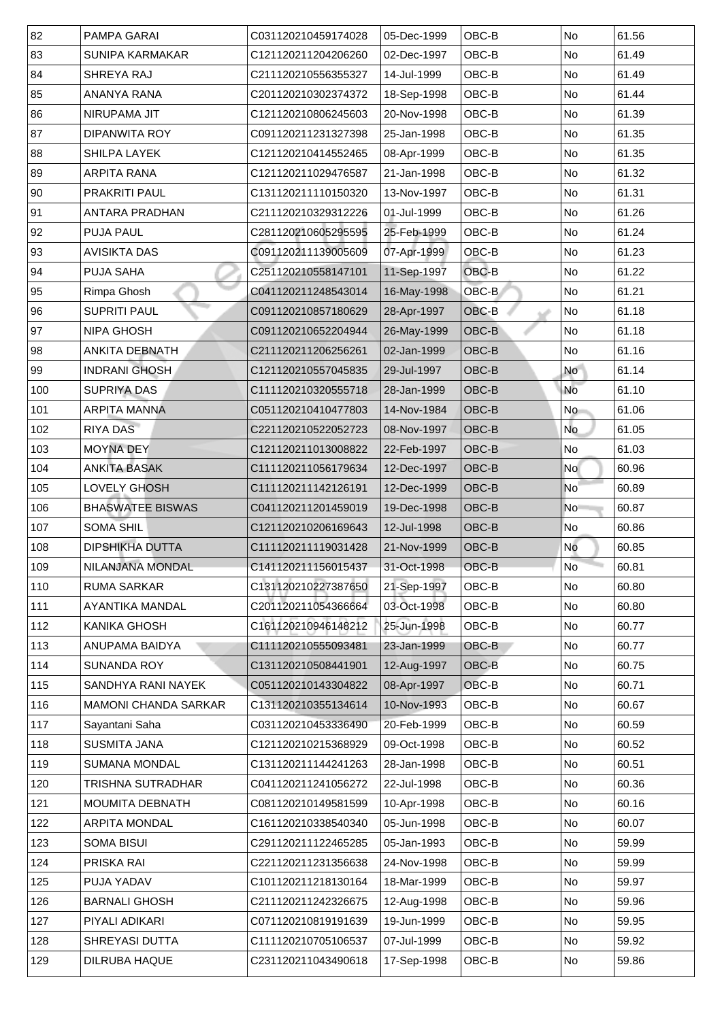| 82  | <b>PAMPA GARAI</b>          | C031120210459174028 | 05-Dec-1999 | OBC-B        | <b>No</b> | 61.56 |
|-----|-----------------------------|---------------------|-------------|--------------|-----------|-------|
| 83  | <b>SUNIPA KARMAKAR</b>      | C121120211204206260 | 02-Dec-1997 | OBC-B        | <b>No</b> | 61.49 |
| 84  | <b>SHREYA RAJ</b>           | C211120210556355327 | 14-Jul-1999 | OBC-B        | No        | 61.49 |
| 85  | ANANYA RANA                 | C201120210302374372 | 18-Sep-1998 | OBC-B        | No        | 61.44 |
| 86  | NIRUPAMA JIT                | C121120210806245603 | 20-Nov-1998 | OBC-B        | No        | 61.39 |
| 87  | <b>DIPANWITA ROY</b>        | C091120211231327398 | 25-Jan-1998 | OBC-B        | <b>No</b> | 61.35 |
| 88  | <b>SHILPA LAYEK</b>         | C121120210414552465 | 08-Apr-1999 | OBC-B        | <b>No</b> | 61.35 |
| 89  | <b>ARPITA RANA</b>          | C121120211029476587 | 21-Jan-1998 | OBC-B        | No        | 61.32 |
| 90  | <b>PRAKRITI PAUL</b>        | C131120211110150320 | 13-Nov-1997 | OBC-B        | <b>No</b> | 61.31 |
| 91  | <b>ANTARA PRADHAN</b>       | C211120210329312226 | 01-Jul-1999 | OBC-B        | No        | 61.26 |
| 92  | <b>PUJA PAUL</b>            | C281120210605295595 | 25-Feb-1999 | OBC-B        | <b>No</b> | 61.24 |
| 93  | <b>AVISIKTA DAS</b>         | C091120211139005609 | 07-Apr-1999 | OBC-B        | <b>No</b> | 61.23 |
| 94  | <b>PUJA SAHA</b>            | C251120210558147101 | 11-Sep-1997 | OBC-B        | <b>No</b> | 61.22 |
| 95  | Rimpa Ghosh                 | C041120211248543014 | 16-May-1998 | OBC-B        | No        | 61.21 |
| 96  | <b>SUPRITI PAUL</b>         | C091120210857180629 | 28-Apr-1997 | OBC-B        | No        | 61.18 |
| 97  | <b>NIPA GHOSH</b>           | C091120210652204944 | 26-May-1999 | OBC-B        | No        | 61.18 |
| 98  | <b>ANKITA DEBNATH</b>       | C211120211206256261 | 02-Jan-1999 | OBC-B        | No        | 61.16 |
| 99  | <b>INDRANI GHOSH</b>        | C121120210557045835 | 29-Jul-1997 | OBC-B        | <b>No</b> | 61.14 |
| 100 | <b>SUPRIYA DAS</b>          | C111120210320555718 | 28-Jan-1999 | OBC-B        | <b>No</b> | 61.10 |
| 101 | <b>ARPITA MANNA</b>         | C051120210410477803 | 14-Nov-1984 | OBC-B        | <b>No</b> | 61.06 |
| 102 | <b>RIYA DAS</b>             | C221120210522052723 | 08-Nov-1997 | OBC-B        | No        | 61.05 |
| 103 | <b>MOYNA DEY</b>            | C121120211013008822 | 22-Feb-1997 | <b>OBC-B</b> | No        | 61.03 |
| 104 | <b>ANKITA BASAK</b>         | C111120211056179634 | 12-Dec-1997 | OBC-B        | No        | 60.96 |
| 105 | <b>LOVELY GHOSH</b>         | C111120211142126191 | 12-Dec-1999 | OBC-B        | No        | 60.89 |
| 106 | <b>BHASWATEE BISWAS</b>     | C041120211201459019 | 19-Dec-1998 | OBC-B        | No        | 60.87 |
| 107 | <b>SOMA SHIL</b>            | C121120210206169643 | 12-Jul-1998 | <b>OBC-B</b> | <b>No</b> | 60.86 |
| 108 | <b>DIPSHIKHA DUTTA</b>      | C111120211119031428 | 21-Nov-1999 | OBC-B        | No        | 60.85 |
| 109 | NILANJANA MONDAL            | C141120211156015437 | 31-Oct-1998 | OBC-B        | <b>No</b> | 60.81 |
| 110 | <b>RUMA SARKAR</b>          | C131120210227387650 | 21-Sep-1997 | OBC-B        | No        | 60.80 |
| 111 | <b>AYANTIKA MANDAL</b>      | C201120211054366664 | 03-Oct-1998 | OBC-B        | <b>No</b> | 60.80 |
| 112 | <b>KANIKA GHOSH</b>         | C161120210946148212 | 25-Jun-1998 | OBC-B        | <b>No</b> | 60.77 |
| 113 | <b>ANUPAMA BAIDYA</b>       | C111120210555093481 | 23-Jan-1999 | <b>OBC-B</b> | No        | 60.77 |
| 114 | <b>SUNANDA ROY</b>          | C131120210508441901 | 12-Aug-1997 | <b>OBC-B</b> | <b>No</b> | 60.75 |
| 115 | <b>SANDHYA RANI NAYEK</b>   | C051120210143304822 | 08-Apr-1997 | OBC-B        | <b>No</b> | 60.71 |
| 116 | <b>MAMONI CHANDA SARKAR</b> | C131120210355134614 | 10-Nov-1993 | OBC-B        | <b>No</b> | 60.67 |
| 117 | Sayantani Saha              | C031120210453336490 | 20-Feb-1999 | OBC-B        | <b>No</b> | 60.59 |
| 118 | <b>SUSMITA JANA</b>         | C121120210215368929 | 09-Oct-1998 | OBC-B        | <b>No</b> | 60.52 |
| 119 | <b>SUMANA MONDAL</b>        | C131120211144241263 | 28-Jan-1998 | OBC-B        | <b>No</b> | 60.51 |
| 120 | TRISHNA SUTRADHAR           | C041120211241056272 | 22-Jul-1998 | OBC-B        | <b>No</b> | 60.36 |
| 121 | <b>MOUMITA DEBNATH</b>      | C081120210149581599 | 10-Apr-1998 | OBC-B        | No        | 60.16 |
| 122 | <b>ARPITA MONDAL</b>        | C161120210338540340 | 05-Jun-1998 | OBC-B        | <b>No</b> | 60.07 |
| 123 | <b>SOMA BISUI</b>           | C291120211122465285 | 05-Jan-1993 | OBC-B        | No        | 59.99 |
| 124 | <b>PRISKA RAI</b>           | C221120211231356638 | 24-Nov-1998 | OBC-B        | No        | 59.99 |
| 125 | <b>PUJA YADAV</b>           | C101120211218130164 | 18-Mar-1999 | OBC-B        | No        | 59.97 |
| 126 | <b>BARNALI GHOSH</b>        | C211120211242326675 | 12-Aug-1998 | OBC-B        | No        | 59.96 |
| 127 | PIYALI ADIKARI              | C071120210819191639 | 19-Jun-1999 | OBC-B        | No        | 59.95 |
|     |                             |                     |             |              |           |       |
| 128 | <b>SHREYASI DUTTA</b>       | C111120210705106537 | 07-Jul-1999 | OBC-B        | No        | 59.92 |